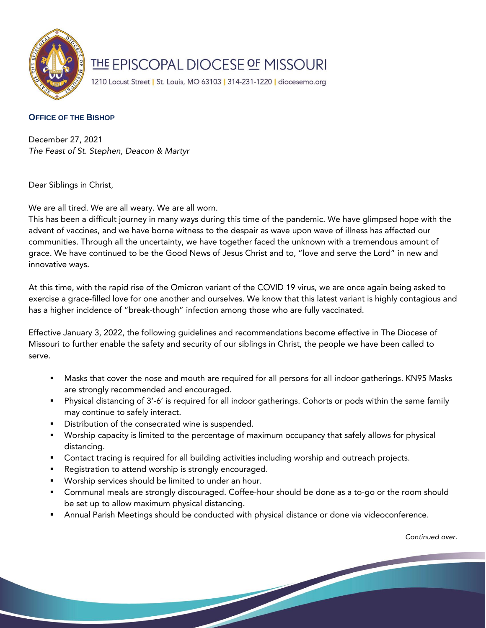

## THE EPISCOPAL DIOCESE OF MISSOURI

1210 Locust Street | St. Louis, MO 63103 | 314-231-1220 | diocesemo.org

## **OFFICE OF THE BISHOP**

December 27, 2021 *The Feast of St. Stephen, Deacon & Martyr* 

Dear Siblings in Christ,

We are all tired. We are all weary. We are all worn.

This has been a difficult journey in many ways during this time of the pandemic. We have glimpsed hope with the advent of vaccines, and we have borne witness to the despair as wave upon wave of illness has affected our communities. Through all the uncertainty, we have together faced the unknown with a tremendous amount of grace. We have continued to be the Good News of Jesus Christ and to, "love and serve the Lord" in new and innovative ways.

At this time, with the rapid rise of the Omicron variant of the COVID 19 virus, we are once again being asked to exercise a grace-filled love for one another and ourselves. We know that this latest variant is highly contagious and has a higher incidence of "break-though" infection among those who are fully vaccinated.

Effective January 3, 2022, the following guidelines and recommendations become effective in The Diocese of Missouri to further enable the safety and security of our siblings in Christ, the people we have been called to serve.

- Masks that cover the nose and mouth are required for all persons for all indoor gatherings. KN95 Masks are strongly recommended and encouraged.
- Physical distancing of 3'-6' is required for all indoor gatherings. Cohorts or pods within the same family may continue to safely interact.
- Distribution of the consecrated wine is suspended.
- Worship capacity is limited to the percentage of maximum occupancy that safely allows for physical distancing.
- **Contact tracing is required for all building activities including worship and outreach projects.**
- Registration to attend worship is strongly encouraged.
- Worship services should be limited to under an hour.
- Communal meals are strongly discouraged. Coffee-hour should be done as a to-go or the room should be set up to allow maximum physical distancing.
- Annual Parish Meetings should be conducted with physical distance or done via videoconference.

*Continued over.*